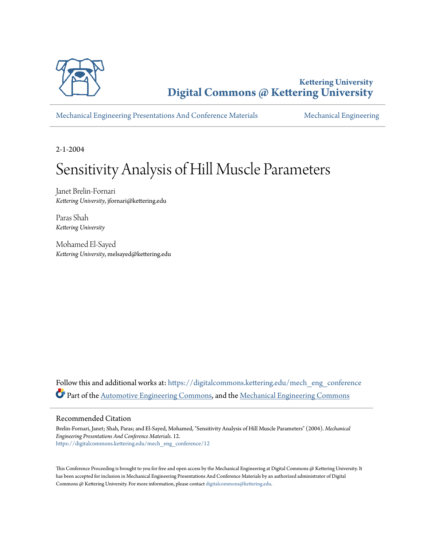

**Kettering University [Digital Commons @ Kettering University](https://digitalcommons.kettering.edu?utm_source=digitalcommons.kettering.edu%2Fmech_eng_conference%2F12&utm_medium=PDF&utm_campaign=PDFCoverPages)**

[Mechanical Engineering Presentations And Conference Materials](https://digitalcommons.kettering.edu/mech_eng_conference?utm_source=digitalcommons.kettering.edu%2Fmech_eng_conference%2F12&utm_medium=PDF&utm_campaign=PDFCoverPages) [Mechanical Engineering](https://digitalcommons.kettering.edu/mech_eng?utm_source=digitalcommons.kettering.edu%2Fmech_eng_conference%2F12&utm_medium=PDF&utm_campaign=PDFCoverPages)

2-1-2004

# Sensitivity Analysis of Hill Muscle Parameters

Janet Brelin-Fornari *Kettering University*, jfornari@kettering.edu

Paras Shah *Kettering University*

Mohamed El-Sayed *Kettering University*, melsayed@kettering.edu

Follow this and additional works at: [https://digitalcommons.kettering.edu/mech\\_eng\\_conference](https://digitalcommons.kettering.edu/mech_eng_conference?utm_source=digitalcommons.kettering.edu%2Fmech_eng_conference%2F12&utm_medium=PDF&utm_campaign=PDFCoverPages) Part of the [Automotive Engineering Commons,](http://network.bepress.com/hgg/discipline/1319?utm_source=digitalcommons.kettering.edu%2Fmech_eng_conference%2F12&utm_medium=PDF&utm_campaign=PDFCoverPages) and the [Mechanical Engineering Commons](http://network.bepress.com/hgg/discipline/293?utm_source=digitalcommons.kettering.edu%2Fmech_eng_conference%2F12&utm_medium=PDF&utm_campaign=PDFCoverPages)

#### Recommended Citation

Brelin-Fornari, Janet; Shah, Paras; and El-Sayed, Mohamed, "Sensitivity Analysis of Hill Muscle Parameters" (2004). *Mechanical Engineering Presentations And Conference Materials*. 12. [https://digitalcommons.kettering.edu/mech\\_eng\\_conference/12](https://digitalcommons.kettering.edu/mech_eng_conference/12?utm_source=digitalcommons.kettering.edu%2Fmech_eng_conference%2F12&utm_medium=PDF&utm_campaign=PDFCoverPages)

This Conference Proceeding is brought to you for free and open access by the Mechanical Engineering at Digital Commons @ Kettering University. It has been accepted for inclusion in Mechanical Engineering Presentations And Conference Materials by an authorized administrator of Digital Commons @ Kettering University. For more information, please contact [digitalcommons@kettering.edu.](mailto:digitalcommons@kettering.edu)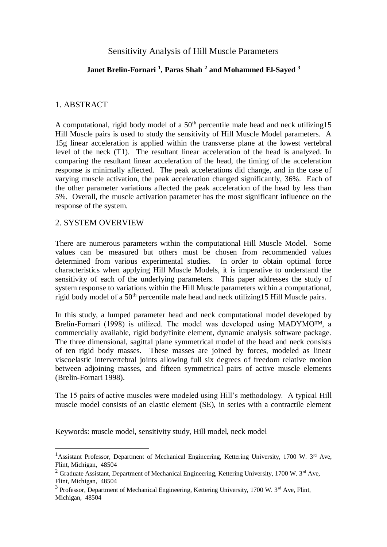# Sensitivity Analysis of Hill Muscle Parameters

## **Janet Brelin-Fornari <sup>1</sup> , Paras Shah <sup>2</sup> and Mohammed El-Sayed <sup>3</sup>**

#### 1. ABSTRACT

A computational, rigid body model of a  $50<sup>th</sup>$  percentile male head and neck utilizing 15 Hill Muscle pairs is used to study the sensitivity of Hill Muscle Model parameters. A 15g linear acceleration is applied within the transverse plane at the lowest vertebral level of the neck (T1). The resultant linear acceleration of the head is analyzed. In comparing the resultant linear acceleration of the head, the timing of the acceleration response is minimally affected. The peak accelerations did change, and in the case of varying muscle activation, the peak acceleration changed significantly, 36%. Each of the other parameter variations affected the peak acceleration of the head by less than 5%. Overall, the muscle activation parameter has the most significant influence on the response of the system.

### 2. SYSTEM OVERVIEW

 $\overline{a}$ 

There are numerous parameters within the computational Hill Muscle Model. Some values can be measured but others must be chosen from recommended values determined from various experimental studies. In order to obtain optimal force characteristics when applying Hill Muscle Models, it is imperative to understand the sensitivity of each of the underlying parameters. This paper addresses the study of system response to variations within the Hill Muscle parameters within a computational, rigid body model of a 50th percentile male head and neck utilizing15 Hill Muscle pairs.

In this study, a lumped parameter head and neck computational model developed by Brelin-Fornari (1998) is utilized. The model was developed using MADYMO<sup>TM</sup>, a commercially available, rigid body/finite element, dynamic analysis software package. The three dimensional, sagittal plane symmetrical model of the head and neck consists of ten rigid body masses. These masses are joined by forces, modeled as linear viscoelastic intervertebral joints allowing full six degrees of freedom relative motion between adjoining masses, and fifteen symmetrical pairs of active muscle elements (Brelin-Fornari 1998).

The 15 pairs of active muscles were modeled using Hill's methodology. A typical Hill muscle model consists of an elastic element (SE), in series with a contractile element

Keywords: muscle model, sensitivity study, Hill model, neck model

<sup>&</sup>lt;sup>1</sup>Assistant Professor, Department of Mechanical Engineering, Kettering University, 1700 W. 3<sup>rd</sup> Ave, Flint, Michigan, 48504

<sup>&</sup>lt;sup>2</sup> Graduate Assistant, Department of Mechanical Engineering, Kettering University, 1700 W. 3<sup>rd</sup> Ave, Flint, Michigan, 48504

 $3$  Professor, Department of Mechanical Engineering, Kettering University, 1700 W.  $3<sup>rd</sup>$  Ave, Flint, Michigan, 48504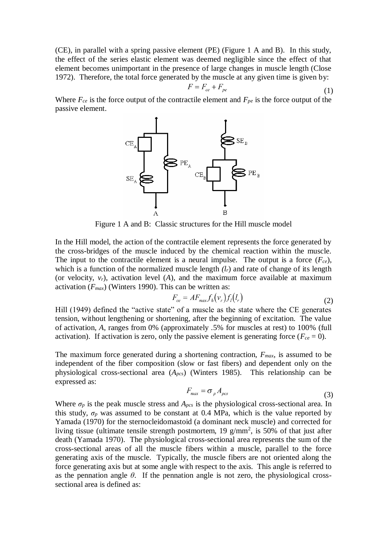(CE), in parallel with a spring passive element (PE) (Figure 1 A and B). In this study, the effect of the series elastic element was deemed negligible since the effect of that element becomes unimportant in the presence of large changes in muscle length (Close 1972). Therefore, the total force generated by the muscle at any given time is given by:

$$
F = F_{ce} + F_{pe} \tag{1}
$$

Where *Fce* is the force output of the contractile element and *Fpe* is the force output of the passive element.



Figure 1 A and B: Classic structures for the Hill muscle model

In the Hill model, the action of the contractile element represents the force generated by the cross-bridges of the muscle induced by the chemical reaction within the muscle. The input to the contractile element is a neural impulse. The output is a force (*Fce*), which is a function of the normalized muscle length  $(l_r)$  and rate of change of its length (or velocity,  $v_r$ ), activation level (*A*), and the maximum force available at maximum activation (*Fmax*) (Winters 1990). This can be written as:

$$
F_{ce} = AF_{max} f_h(v_r) f_l(l_r)
$$
\n(2)

Hill (1949) defined the "active state" of a muscle as the state where the CE generates tension, without lengthening or shortening, after the beginning of excitation. The value of activation, *A*, ranges from 0% (approximately .5% for muscles at rest) to 100% (full activation). If activation is zero, only the passive element is generating force  $(F_{ce} = 0)$ .

The maximum force generated during a shortening contraction, *Fmax*, is assumed to be independent of the fiber composition (slow or fast fibers) and dependent only on the physiological cross-sectional area (*Apcs*) (Winters 1985). This relationship can be expressed as:

$$
F_{\text{max}} = \sigma_p A_{\text{pcs}} \tag{3}
$$

Where  $\sigma_p$  is the peak muscle stress and  $A_{pcs}$  is the physiological cross-sectional area. In this study,  $\sigma_p$  was assumed to be constant at 0.4 MPa, which is the value reported by Yamada (1970) for the sternocleidomastoid (a dominant neck muscle) and corrected for living tissue (ultimate tensile strength postmortem,  $19 \text{ g/mm}^2$ , is 50% of that just after death (Yamada 1970). The physiological cross-sectional area represents the sum of the cross-sectional areas of all the muscle fibers within a muscle, parallel to the force generating axis of the muscle. Typically, the muscle fibers are not oriented along the force generating axis but at some angle with respect to the axis. This angle is referred to as the pennation angle  $\theta$ . If the pennation angle is not zero, the physiological crosssectional area is defined as: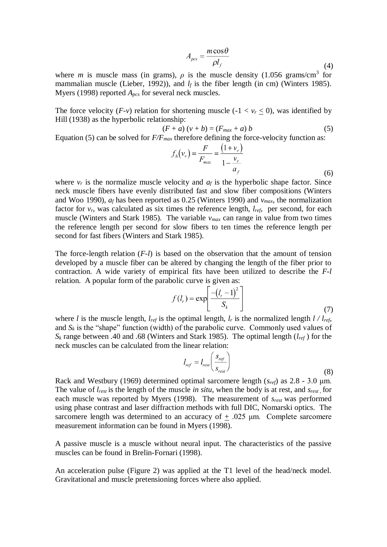$$
A_{pcs} = \frac{m\cos\theta}{\rho l_f} \tag{4}
$$

where *m* is muscle mass (in grams),  $\rho$  is the muscle density (1.056 grams/cm<sup>3</sup> for mammalian muscle (Lieber, 1992)), and  $l_f$  is the fiber length (in cm) (Winters 1985). Myers (1998) reported *Apcs* for several neck muscles.

The force velocity  $(F-v)$  relation for shortening muscle  $(-1 < v_r < 0)$ , was identified by Hill (1938) as the hyperbolic relationship:

$$
(F + a) (v + b) = (F_{max} + a) b \tag{5}
$$

Equation (5) can be solved for *F/Fmax* therefore defining the force-velocity function as:

$$
f_h(v_r) = \frac{F}{F_{max}} = \frac{(1 + v_r)}{1 - \frac{v_r}{a_f}}
$$
(6)

where  $v_r$  is the normalize muscle velocity and  $a_f$  is the hyperbolic shape factor. Since neck muscle fibers have evenly distributed fast and slow fiber compositions (Winters and Woo 1990), *a<sup>f</sup>* has been reported as 0.25 (Winters 1990) and *vmax*, the normalization factor for  $v_r$ , was calculated as six times the reference length,  $l_{ref}$ , per second, for each muscle (Winters and Stark 1985). The variable *vmax* can range in value from two times the reference length per second for slow fibers to ten times the reference length per second for fast fibers (Winters and Stark 1985).

The force-length relation (*F-l*) is based on the observation that the amount of tension developed by a muscle fiber can be altered by changing the length of the fiber prior to contraction. A wide variety of empirical fits have been utilized to describe the *F-l* relation. A popular form of the parabolic curve is given as:

$$
f(l_r) = \exp\left[\frac{-\left(l_r - 1\right)^2}{S_k}\right] \tag{7}
$$

where *l* is the muscle length,  $l_{ref}$  is the optimal length,  $l_r$  is the normalized length  $l / l_{ref}$ , and  $S_k$  is the "shape" function (width) of the parabolic curve. Commonly used values of  $S_k$  range between .40 and .68 (Winters and Stark 1985). The optimal length ( $l_{ref}$ ) for the neck muscles can be calculated from the linear relation:

$$
I_{ref} = I_{rest} \left( \frac{S_{ref}}{S_{rest}} \right)
$$
 (8)

Rack and Westbury (1969) determined optimal sarcomere length (*sref*) as 2.8 - 3.0 μm. The value of *lrest* is the length of the muscle *in situ*, when the body is at rest, and *srest* , for each muscle was reported by Myers (1998). The measurement of *srest* was performed using phase contrast and laser diffraction methods with full DIC, Nomarski optics. The sarcomere length was determined to an accuracy of  $+$  .025  $\mu$ m. Complete sarcomere measurement information can be found in Myers (1998).

A passive muscle is a muscle without neural input. The characteristics of the passive muscles can be found in Brelin-Fornari (1998).

An acceleration pulse (Figure 2) was applied at the T1 level of the head/neck model. Gravitational and muscle pretensioning forces where also applied.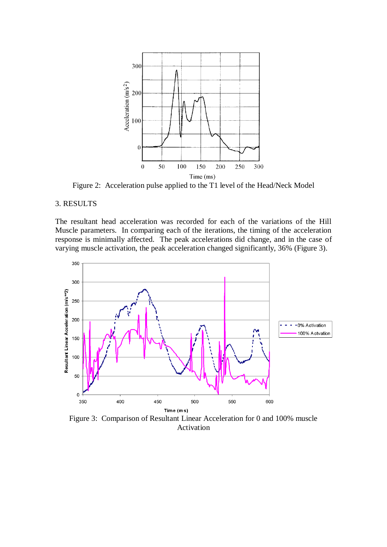

Figure 2: Acceleration pulse applied to the T1 level of the Head/Neck Model

#### 3. RESULTS

The resultant head acceleration was recorded for each of the variations of the Hill Muscle parameters. In comparing each of the iterations, the timing of the acceleration response is minimally affected. The peak accelerations did change, and in the case of varying muscle activation, the peak acceleration changed significantly, 36% (Figure 3).



Figure 3: Comparison of Resultant Linear Acceleration for 0 and 100% muscle Activation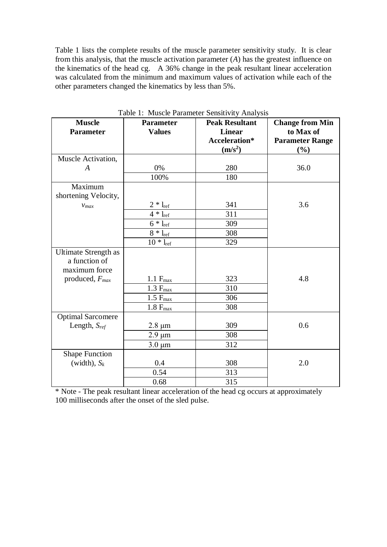Table 1 lists the complete results of the muscle parameter sensitivity study. It is clear from this analysis, that the muscle activation parameter (*A*) has the greatest influence on the kinematics of the head cg. A 36% change in the peak resultant linear acceleration was calculated from the minimum and maximum values of activation while each of the other parameters changed the kinematics by less than 5%.

| <b>Muscle</b>                                                 | <b>Parameter</b> | <b>Peak Resultant</b> | <b>Change from Min</b> |
|---------------------------------------------------------------|------------------|-----------------------|------------------------|
| <b>Parameter</b>                                              | <b>Values</b>    | <b>Linear</b>         | to Max of              |
|                                                               |                  | Acceleration*         | <b>Parameter Range</b> |
|                                                               |                  | (m/s <sup>2</sup> )   | $(\%)$                 |
| Muscle Activation,                                            |                  |                       |                        |
| $\boldsymbol{A}$                                              | 0%               | 280                   | 36.0                   |
|                                                               | 100%             | 180                   |                        |
| Maximum<br>shortening Velocity,                               |                  |                       |                        |
| $V_{max}$                                                     | $2 * l_{ref}$    | 341                   | 3.6                    |
|                                                               | $4 * l_{ref}$    | 311                   |                        |
|                                                               | $6 * l_{ref}$    | 309                   |                        |
|                                                               | $8 * l_{ref}$    | 308                   |                        |
|                                                               | $10 * l_{ref}$   | 329                   |                        |
| <b>Ultimate Strength as</b><br>a function of<br>maximum force |                  |                       |                        |
| produced, $F_{max}$                                           | $1.1 F_{max}$    | 323                   | 4.8                    |
|                                                               | $1.3 F_{max}$    | 310                   |                        |
|                                                               | $1.5 F_{max}$    | 306                   |                        |
|                                                               | $1.8 F_{max}$    | 308                   |                        |
| <b>Optimal Sarcomere</b>                                      |                  |                       |                        |
| Length, $S_{ref}$                                             | $2.8 \mu m$      | 309                   | 0.6                    |
|                                                               | $2.9 \mu m$      | 308                   |                        |
|                                                               | $3.0 \mu m$      | 312                   |                        |
| <b>Shape Function</b>                                         |                  |                       |                        |
| (width), $S_k$                                                | 0.4              | 308                   | 2.0                    |
|                                                               | 0.54             | 313                   |                        |
|                                                               | 0.68             | 315                   |                        |

Table 1: Muscle Parameter Sensitivity Analysis

\* Note - The peak resultant linear acceleration of the head cg occurs at approximately 100 milliseconds after the onset of the sled pulse.